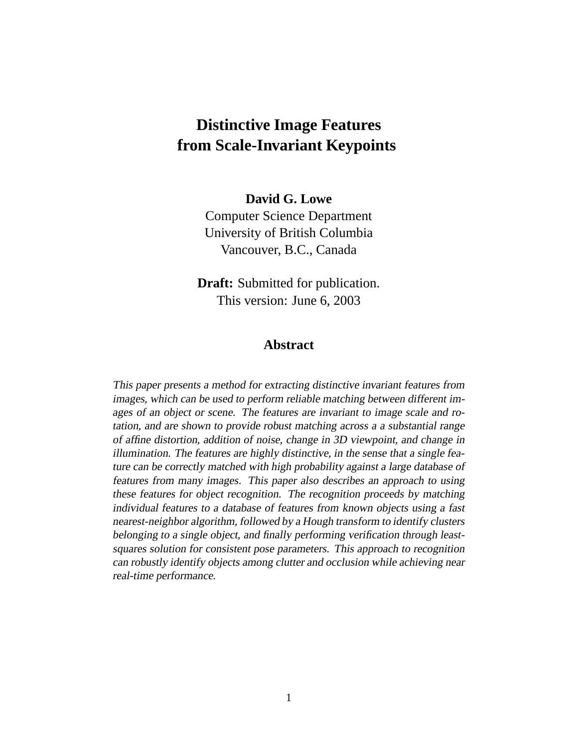# **Distinctive Image Features from Scale-Invariant Keypoints**

#### **David G. Lowe**

Computer Science Department University of British Columbia Vancouver, B.C., Canada

**Draft:** Submitted for publication. This version: June 6, 2003

#### **Abstract**

This paper presents <sup>a</sup> method for extracting distinctive invariant features from images, which can be used to perform reliable matching between different images of an object or scene. The features are invariant to image scale and rotation, and are shown to provide robust matching across <sup>a</sup> <sup>a</sup> substantial range of affine distortion, addition of noise, change in 3D viewpoint, and change in illumination. The features are highly distinctive, in the sense that <sup>a</sup> single feature can be correctly matched with high probability against <sup>a</sup> large database of features from many images. This paper also describes an approach to using these features for object recognition. The recognition proceeds by matching individual features to <sup>a</sup> database of features from known objects using <sup>a</sup> fast nearest-neighbor algorithm, followed by <sup>a</sup> Hough transform to identify clusters belonging to <sup>a</sup> single object, and finally performing verification through leastsquares solution for consistent pose parameters. This approach to recognition can robustly identify objects among clutter and occlusion while achieving near real-time performance.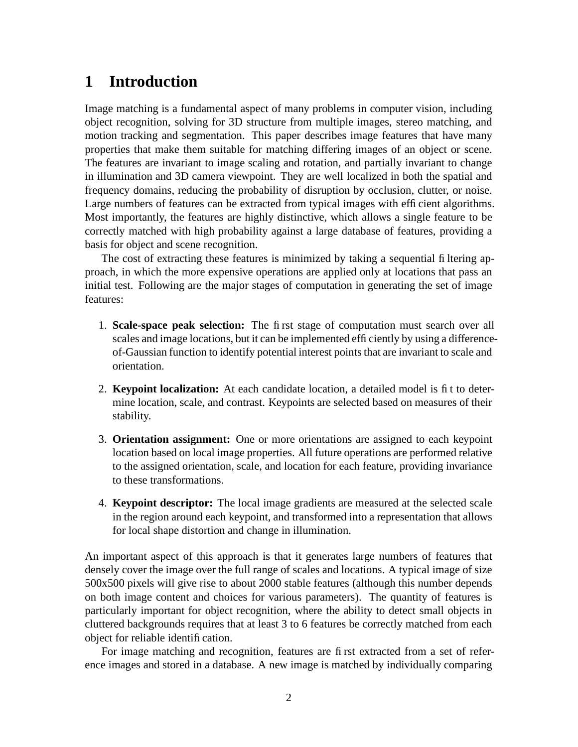# **1 Introduction**

Image matching is a fundamental aspect of many problems in computer vision, including object recognition, solving for 3D structure from multiple images, stereo matching, and motion tracking and segmentation. This paper describes image features that have many properties that make them suitable for matching differing images of an object or scene. The features are invariant to image scaling and rotation, and partially invariant to change in illumination and 3D camera viewpoint. They are well localized in both the spatial and frequency domains, reducing the probability of disruption by occlusion, clutter, or noise. Large numbers of features can be extracted from typical images with efficient algorithms. Most importantly, the features are highly distinctive, which allows a single feature to be correctly matched with high probability against a large database of features, providing a basis for object and scene recognition.

The cost of extracting these features is minimized by taking a sequential filtering approach, in which the more expensive operations are applied only at locations that pass an initial test. Following are the major stages of computation in generating the set of image features:

- 1. **Scale-space peak selection:** The first stage of computation must search over all scales and image locations, but it can be implemented efficiently by using a differenceof-Gaussian function to identify potential interest points that are invariant to scale and orientation.
- 2. **Keypoint localization:** At each candidate location, a detailed model is fit to determine location, scale, and contrast. Keypoints are selected based on measures of their stability.
- 3. **Orientation assignment:** One or more orientations are assigned to each keypoint location based on local image properties. All future operations are performed relative to the assigned orientation, scale, and location for each feature, providing invariance to these transformations.
- 4. **Keypoint descriptor:** The local image gradients are measured at the selected scale in the region around each keypoint, and transformed into a representation that allows for local shape distortion and change in illumination.

An important aspect of this approach is that it generates large numbers of features that densely cover the image over the full range of scales and locations. A typical image of size 500x500 pixels will give rise to about 2000 stable features (although this number depends on both image content and choices for various parameters). The quantity of features is particularly important for object recognition, where the ability to detect small objects in cluttered backgrounds requires that at least 3 to 6 features be correctly matched from each object for reliable identification.

For image matching and recognition, features are first extracted from a set of reference images and stored in a database. A new image is matched by individually comparing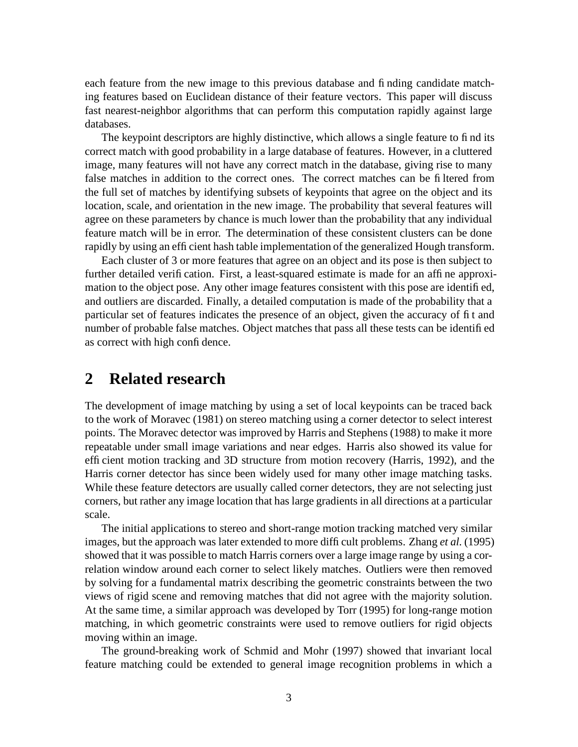each feature from the new image to this previous database and finding candidate matching features based on Euclidean distance of their feature vectors. This paper will discuss fast nearest-neighbor algorithms that can perform this computation rapidly against large databases.

The keypoint descriptors are highly distinctive, which allows a single feature to find its correct match with good probability in a large database of features. However, in a cluttered image, many features will not have any correct match in the database, giving rise to many false matches in addition to the correct ones. The correct matches can be filtered from the full set of matches by identifying subsets of keypoints that agree on the object and its location, scale, and orientation in the new image. The probability that several features will agree on these parameters by chance is much lower than the probability that any individual feature match will be in error. The determination of these consistent clusters can be done rapidly by using an efficient hash table implementation of the generalized Hough transform.

Each cluster of 3 or more features that agree on an object and its pose is then subject to further detailed verification. First, a least-squared estimate is made for an affine approximation to the object pose. Any other image features consistent with this pose are identified, and outliers are discarded. Finally, a detailed computation is made of the probability that a particular set of features indicates the presence of an object, given the accuracy of fit and number of probable false matches. Object matches that pass all these tests can be identified as correct with high confidence.

## **2 Related research**

The development of image matching by using a set of local keypoints can be traced back to the work of Moravec (1981) on stereo matching using a corner detector to select interest points. The Moravec detector was improved by Harris and Stephens (1988) to make it more repeatable under small image variations and near edges. Harris also showed its value for efficient motion tracking and 3D structure from motion recovery (Harris, 1992), and the Harris corner detector has since been widely used for many other image matching tasks. While these feature detectors are usually called corner detectors, they are not selecting just corners, but rather any image location that has large gradients in all directions at a particular scale.

The initial applications to stereo and short-range motion tracking matched very similar images, but the approach was later extended to more difficult problems. Zhang *et al.* (1995) showed that it was possible to match Harris corners over a large image range by using a correlation window around each corner to select likely matches. Outliers were then removed by solving for a fundamental matrix describing the geometric constraints between the two views of rigid scene and removing matches that did not agree with the majority solution. At the same time, a similar approach was developed by Torr (1995) for long-range motion matching, in which geometric constraints were used to remove outliers for rigid objects moving within an image.

The ground-breaking work of Schmid and Mohr (1997) showed that invariant local feature matching could be extended to general image recognition problems in which a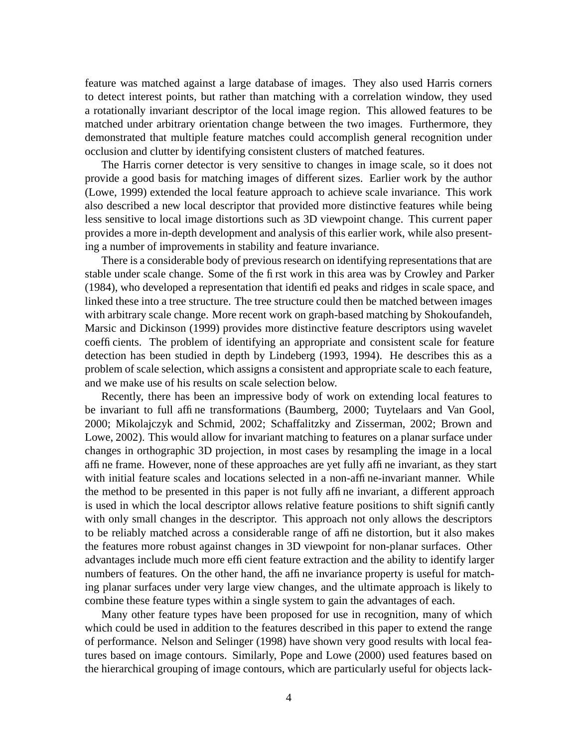feature was matched against a large database of images. They also used Harris corners to detect interest points, but rather than matching with a correlation window, they used a rotationally invariant descriptor of the local image region. This allowed features to be matched under arbitrary orientation change between the two images. Furthermore, they demonstrated that multiple feature matches could accomplish general recognition under occlusion and clutter by identifying consistent clusters of matched features.

The Harris corner detector is very sensitive to changes in image scale, so it does not provide a good basis for matching images of different sizes. Earlier work by the author (Lowe, 1999) extended the local feature approach to achieve scale invariance. This work also described a new local descriptor that provided more distinctive features while being less sensitive to local image distortions such as 3D viewpoint change. This current paper provides a more in-depth development and analysis of this earlier work, while also presenting a number of improvements in stability and feature invariance.

There is a considerable body of previous research on identifying representations that are stable under scale change. Some of the first work in this area was by Crowley and Parker (1984), who developed a representation that identified peaks and ridges in scale space, and linked these into a tree structure. The tree structure could then be matched between images with arbitrary scale change. More recent work on graph-based matching by Shokoufandeh, Marsic and Dickinson (1999) provides more distinctive feature descriptors using wavelet coefficients. The problem of identifying an appropriate and consistent scale for feature detection has been studied in depth by Lindeberg (1993, 1994). He describes this as a problem of scale selection, which assigns a consistent and appropriate scale to each feature, and we make use of his results on scale selection below.

Recently, there has been an impressive body of work on extending local features to be invariant to full affine transformations (Baumberg, 2000; Tuytelaars and Van Gool, 2000; Mikolajczyk and Schmid, 2002; Schaffalitzky and Zisserman, 2002; Brown and Lowe, 2002). This would allow for invariant matching to features on a planar surface under changes in orthographic 3D projection, in most cases by resampling the image in a local affine frame. However, none of these approaches are yet fully affine invariant, as they start with initial feature scales and locations selected in a non-affine-invariant manner. While the method to be presented in this paper is not fully affine invariant, a different approach is used in which the local descriptor allows relative feature positions to shift significantly with only small changes in the descriptor. This approach not only allows the descriptors to be reliably matched across a considerable range of affine distortion, but it also makes the features more robust against changes in 3D viewpoint for non-planar surfaces. Other advantages include much more efficient feature extraction and the ability to identify larger numbers of features. On the other hand, the affine invariance property is useful for matching planar surfaces under very large view changes, and the ultimate approach is likely to combine these feature types within a single system to gain the advantages of each.

Many other feature types have been proposed for use in recognition, many of which which could be used in addition to the features described in this paper to extend the range of performance. Nelson and Selinger (1998) have shown very good results with local features based on image contours. Similarly, Pope and Lowe (2000) used features based on the hierarchical grouping of image contours, which are particularly useful for objects lack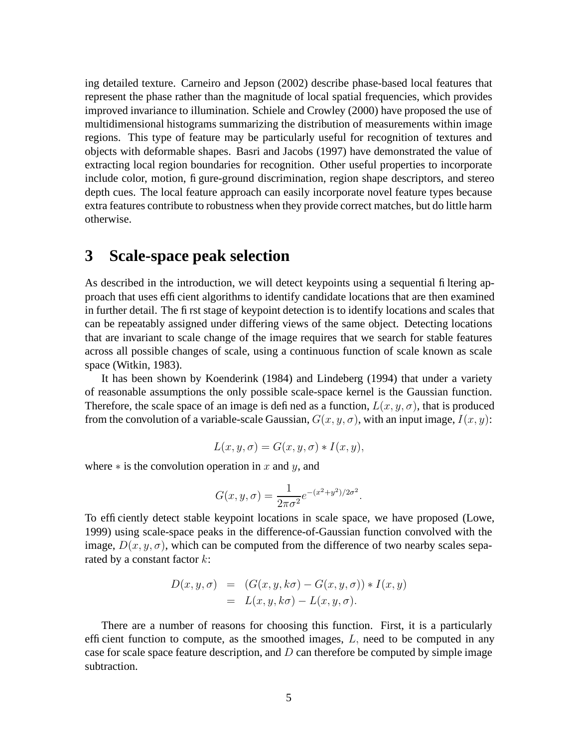ing detailed texture. Carneiro and Jepson (2002) describe phase-based local features that represent the phase rather than the magnitude of local spatial frequencies, which provides improved invariance to illumination. Schiele and Crowley (2000) have proposed the use of multidimensional histograms summarizing the distribution of measurements within image regions. This type of feature may be particularly useful for recognition of textures and objects with deformable shapes. Basri and Jacobs (1997) have demonstrated the value of extracting local region boundaries for recognition. Other useful properties to incorporate include color, motion, figure-ground discrimination, region shape descriptors, and stereo depth cues. The local feature approach can easily incorporate novel feature types because extra features contribute to robustness when they provide correct matches, but do little harm otherwise.

### **3 Scale-space peak selection**

As described in the introduction, we will detect keypoints using a sequential filtering approach that uses efficient algorithms to identify candidate locations that are then examined in further detail. The first stage of keypoint detection is to identify locations and scales that can be repeatably assigned under differing views of the same object. Detecting locations that are invariant to scale change of the image requires that we search for stable features across all possible changes of scale, using a continuous function of scale known as scale space (Witkin, 1983).

It has been shown by Koenderink (1984) and Lindeberg (1994) that under a variety of reasonable assumptions the only possible scale-space kernel is the Gaussian function. Therefore, the scale space of an image is defined as a function,  $L(x, y, \sigma)$ , that is produced from the convolution of a variable-scale Gaussian,  $G(x, y, \sigma)$ , with an input image,  $I(x, y)$ :

$$
L(x, y, \sigma) = G(x, y, \sigma) * I(x, y),
$$

where  $*$  is the convolution operation in x and y, and

$$
G(x, y, \sigma) = \frac{1}{2\pi\sigma^2} e^{-(x^2 + y^2)/2\sigma^2}.
$$

To efficiently detect stable keypoint locations in scale space, we have proposed (Lowe, 1999) using scale-space peaks in the difference-of-Gaussian function convolved with the image,  $D(x, y, \sigma)$ , which can be computed from the difference of two nearby scales separated by a constant factor  $k$ :

$$
D(x, y, \sigma) = (G(x, y, k\sigma) - G(x, y, \sigma)) * I(x, y)
$$
  
=  $L(x, y, k\sigma) - L(x, y, \sigma)$ .

There are a number of reasons for choosing this function. First, it is a particularly efficient function to compute, as the smoothed images,  $L$ , need to be computed in any case for scale space feature description, and  $D$  can therefore be computed by simple image subtraction.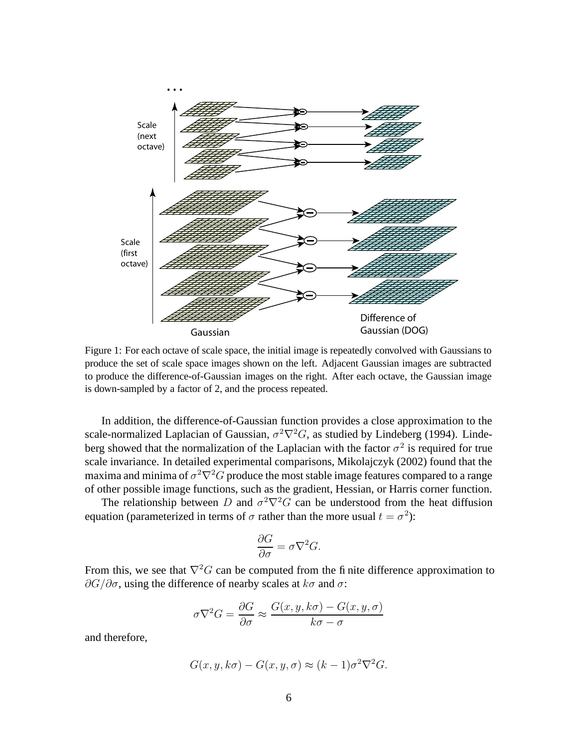

Figure 1: For each octave of scale space, the initial image is repeatedly convolved with Gaussians to produce the set of scale space images shown on the left. Adjacent Gaussian images are subtracted to produce the difference-of-Gaussian images on the right. After each octave, the Gaussian image is down-sampled by a factor of 2, and the process repeated.

In addition, the difference-of-Gaussian function provides a close approximation to the scale-normalized Laplacian of Gaussian,  $\sigma^2 \nabla^2 G$ , as studied by Lindeberg (1994). Lindeberg showed that the normalization of the Laplacian with the factor  $\sigma^2$  is required for true scale invariance. In detailed experimental comparisons, Mikolajczyk (2002) found that the maxima and minima of  $\sigma^2 \nabla^2 G$  produce the most stable image features compared to a range of other possible image functions, such as the gradient, Hessian, or Harris corner function.

The relationship between D and  $\sigma^2 \nabla^2 G$  can be understood from the heat diffusion equation (parameterized in terms of  $\sigma$  rather than the more usual  $t = \sigma^2$ ):

$$
\frac{\partial G}{\partial \sigma} = \sigma \nabla^2 G.
$$

From this, we see that  $\nabla^2 G$  can be computed from the finite difference approximation to  $\partial G/\partial \sigma$ , using the difference of nearby scales at  $k\sigma$  and  $\sigma$ :

$$
\sigma \nabla^2 G = \frac{\partial G}{\partial \sigma} \approx \frac{G(x, y, k\sigma) - G(x, y, \sigma)}{k\sigma - \sigma}
$$

and therefore,

$$
G(x, y, k\sigma) - G(x, y, \sigma) \approx (k - 1)\sigma^2 \nabla^2 G.
$$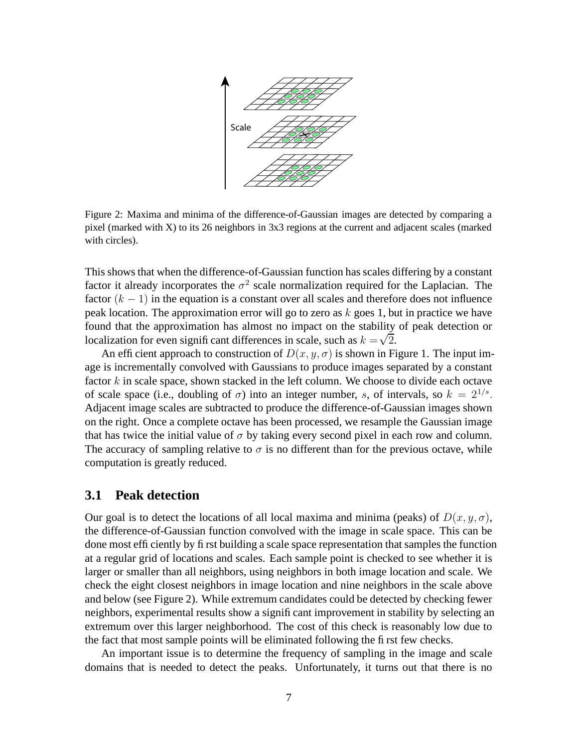

Figure 2: Maxima and minima of the difference-of-Gaussian images are detected by comparing a pixel (marked with X) to its 26 neighbors in 3x3 regions at the current and adjacent scales (marked with circles).

This shows that when the difference-of-Gaussian function has scales differing by a constant factor it already incorporates the  $\sigma^2$  scale normalization required for the Laplacian. The factor  $(k - 1)$  in the equation is a constant over all scales and therefore does not influence peak location. The approximation error will go to zero as  $k$  goes 1, but in practice we have found that the approximation has almost no impact on the stability of peak detection or localization for even significant differences in scale, such as  $k = \sqrt{2}$ .

An efficient approach to construction of  $D(x, y, \sigma)$  is shown in Figure 1. The input image is incrementally convolved with Gaussians to produce images separated by a constant factor  $k$  in scale space, shown stacked in the left column. We choose to divide each octave of scale space (i.e., doubling of  $\sigma$ ) into an integer number, s, of intervals, so  $k = 2^{1/s}$ . Adjacent image scales are subtracted to produce the difference-of-Gaussian images shown on the right. Once a complete octave has been processed, we resample the Gaussian image that has twice the initial value of  $\sigma$  by taking every second pixel in each row and column. The accuracy of sampling relative to  $\sigma$  is no different than for the previous octave, while computation is greatly reduced.

#### **3.1 Peak detection**

Our goal is to detect the locations of all local maxima and minima (peaks) of  $D(x, y, \sigma)$ , the difference-of-Gaussian function convolved with the image in scale space. This can be done most efficiently by first building a scale space representation that samples the function at a regular grid of locations and scales. Each sample point is checked to see whether it is larger or smaller than all neighbors, using neighbors in both image location and scale. We check the eight closest neighbors in image location and nine neighbors in the scale above and below (see Figure 2). While extremum candidates could be detected by checking fewer neighbors, experimental results show a significant improvement in stability by selecting an extremum over this larger neighborhood. The cost of this check is reasonably low due to the fact that most sample points will be eliminated following the first few checks.

An important issue is to determine the frequency of sampling in the image and scale domains that is needed to detect the peaks. Unfortunately, it turns out that there is no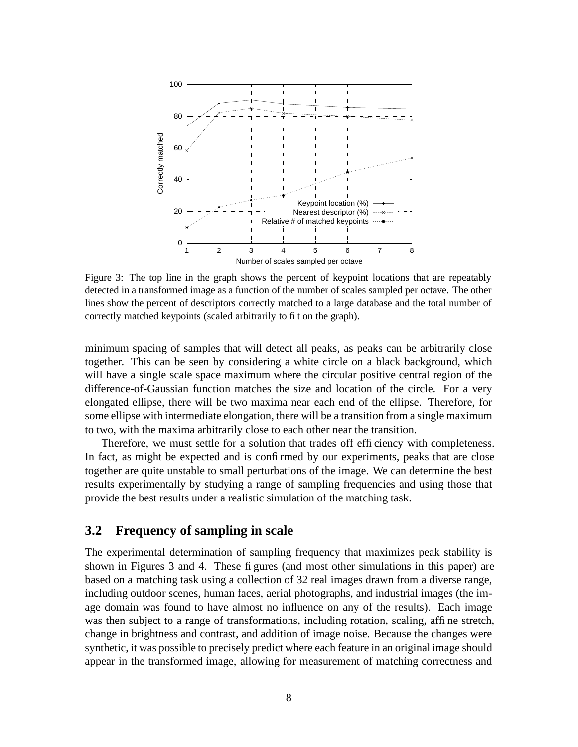

Figure 3: The top line in the graph shows the percent of keypoint locations that are repeatably detected in a transformed image as a function of the number of scales sampled per octave. The other lines show the percent of descriptors correctly matched to a large database and the total number of correctly matched keypoints (scaled arbitrarily to fit on the graph).

minimum spacing of samples that will detect all peaks, as peaks can be arbitrarily close together. This can be seen by considering a white circle on a black background, which will have a single scale space maximum where the circular positive central region of the difference-of-Gaussian function matches the size and location of the circle. For a very elongated ellipse, there will be two maxima near each end of the ellipse. Therefore, for some ellipse with intermediate elongation, there will be a transition from a single maximum to two, with the maxima arbitrarily close to each other near the transition.

Therefore, we must settle for a solution that trades off efficiency with completeness. In fact, as might be expected and is confirmed by our experiments, peaks that are close together are quite unstable to small perturbations of the image. We can determine the best results experimentally by studying a range of sampling frequencies and using those that provide the best results under a realistic simulation of the matching task.

#### **3.2 Frequency of sampling in scale**

The experimental determination of sampling frequency that maximizes peak stability is shown in Figures 3 and 4. These figures (and most other simulations in this paper) are based on a matching task using a collection of 32 real images drawn from a diverse range, including outdoor scenes, human faces, aerial photographs, and industrial images (the image domain was found to have almost no influence on any of the results). Each image was then subject to a range of transformations, including rotation, scaling, affine stretch, change in brightness and contrast, and addition of image noise. Because the changes were synthetic, it was possible to precisely predict where each feature in an original image should appear in the transformed image, allowing for measurement of matching correctness and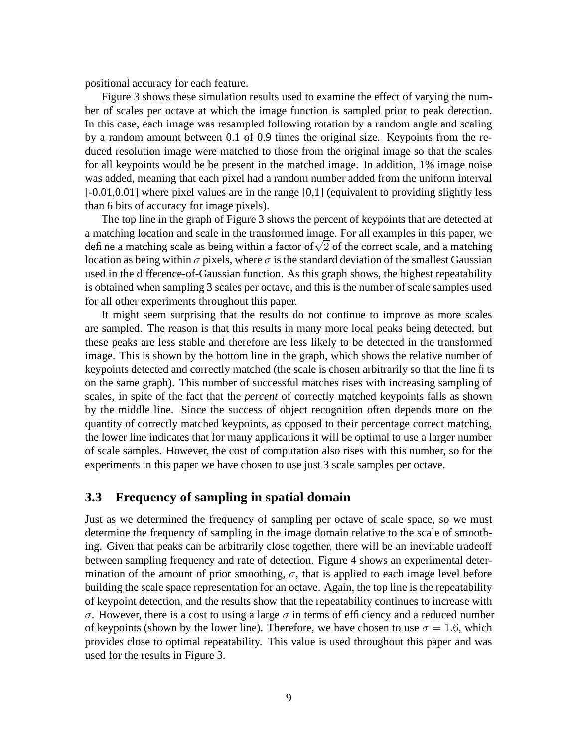positional accuracy for each feature.

Figure 3 shows these simulation results used to examine the effect of varying the number of scales per octave at which the image function is sampled prior to peak detection. In this case, each image was resampled following rotation by a random angle and scaling by a random amount between 0.1 of 0.9 times the original size. Keypoints from the reduced resolution image were matched to those from the original image so that the scales for all keypoints would be be present in the matched image. In addition, 1% image noise was added, meaning that each pixel had a random number added from the uniform interval  $[-0.01, 0.01]$  where pixel values are in the range  $[0,1]$  (equivalent to providing slightly less than 6 bits of accuracy for image pixels).

The top line in the graph of Figure 3 shows the percent of keypoints that are detected at a matching location and scale in the transformed image. For all examples in this paper, we define a matching scale as being within a factor of  $\sqrt{2}$  of the correct scale, and a matching location as being within  $\sigma$  pixels, where  $\sigma$  is the standard deviation of the smallest Gaussian used in the difference-of-Gaussian function. As this graph shows, the highest repeatability is obtained when sampling 3 scales per octave, and this is the number of scale samples used for all other experiments throughout this paper.

It might seem surprising that the results do not continue to improve as more scales are sampled. The reason is that this results in many more local peaks being detected, but these peaks are less stable and therefore are less likely to be detected in the transformed image. This is shown by the bottom line in the graph, which shows the relative number of keypoints detected and correctly matched (the scale is chosen arbitrarily so that the line fits on the same graph). This number of successful matches rises with increasing sampling of scales, in spite of the fact that the *percent* of correctly matched keypoints falls as shown by the middle line. Since the success of object recognition often depends more on the quantity of correctly matched keypoints, as opposed to their percentage correct matching, the lower line indicates that for many applications it will be optimal to use a larger number of scale samples. However, the cost of computation also rises with this number, so for the experiments in this paper we have chosen to use just 3 scale samples per octave.

#### **3.3 Frequency of sampling in spatial domain**

Just as we determined the frequency of sampling per octave of scale space, so we must determine the frequency of sampling in the image domain relative to the scale of smoothing. Given that peaks can be arbitrarily close together, there will be an inevitable tradeoff between sampling frequency and rate of detection. Figure 4 shows an experimental determination of the amount of prior smoothing,  $\sigma$ , that is applied to each image level before building the scale space representation for an octave. Again, the top line is the repeatability of keypoint detection, and the results show that the repeatability continues to increase with σ. However, there is a cost to using a large σ in terms of efficiency and a reduced number of keypoints (shown by the lower line). Therefore, we have chosen to use  $\sigma = 1.6$ , which provides close to optimal repeatability. This value is used throughout this paper and was used for the results in Figure 3.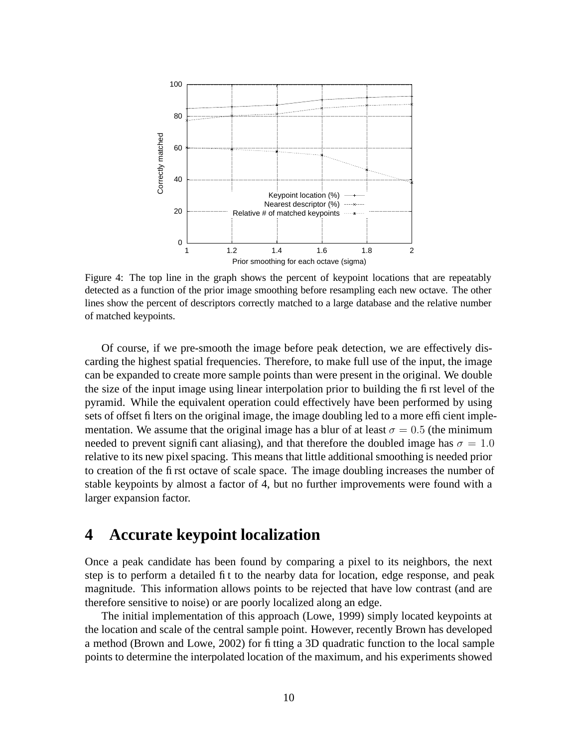

Figure 4: The top line in the graph shows the percent of keypoint locations that are repeatably detected as a function of the prior image smoothing before resampling each new octave. The other lines show the percent of descriptors correctly matched to a large database and the relative number of matched keypoints.

Of course, if we pre-smooth the image before peak detection, we are effectively discarding the highest spatial frequencies. Therefore, to make full use of the input, the image can be expanded to create more sample points than were present in the original. We double the size of the input image using linear interpolation prior to building the first level of the pyramid. While the equivalent operation could effectively have been performed by using sets of offset filters on the original image, the image doubling led to a more efficient implementation. We assume that the original image has a blur of at least  $\sigma = 0.5$  (the minimum needed to prevent significant aliasing), and that therefore the doubled image has  $\sigma = 1.0$ relative to its new pixel spacing. This means that little additional smoothing is needed prior to creation of the first octave of scale space. The image doubling increases the number of stable keypoints by almost a factor of 4, but no further improvements were found with a larger expansion factor.

# **4 Accurate keypoint localization**

Once a peak candidate has been found by comparing a pixel to its neighbors, the next step is to perform a detailed fit to the nearby data for location, edge response, and peak magnitude. This information allows points to be rejected that have low contrast (and are therefore sensitive to noise) or are poorly localized along an edge.

The initial implementation of this approach (Lowe, 1999) simply located keypoints at the location and scale of the central sample point. However, recently Brown has developed a method (Brown and Lowe, 2002) for fitting a 3D quadratic function to the local sample points to determine the interpolated location of the maximum, and his experiments showed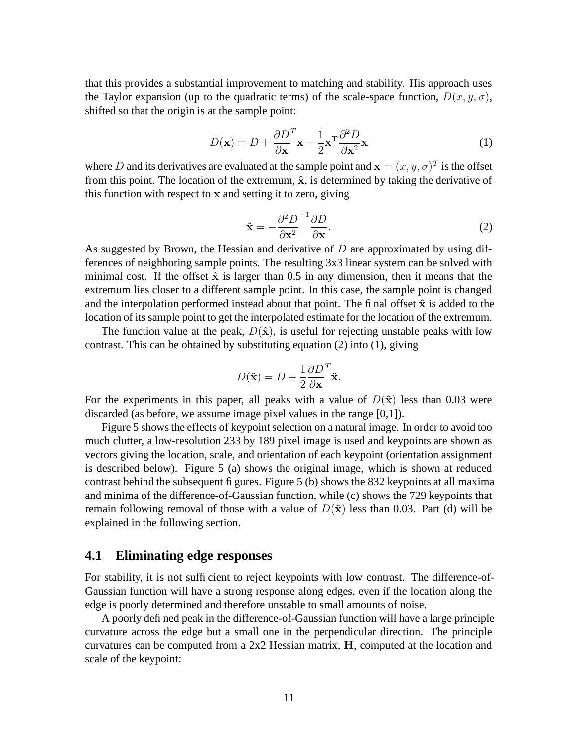that this provides a substantial improvement to matching and stability. His approach uses the Taylor expansion (up to the quadratic terms) of the scale-space function,  $D(x, y, \sigma)$ , shifted so that the origin is at the sample point:

$$
D(\mathbf{x}) = D + \frac{\partial D}{\partial \mathbf{x}}^T \mathbf{x} + \frac{1}{2} \mathbf{x}^T \frac{\partial^2 D}{\partial \mathbf{x}^2} \mathbf{x}
$$
 (1)

where D and its derivatives are evaluated at the sample point and  $\mathbf{x} = (x, y, \sigma)^T$  is the offset from this point. The location of the extremum,  $\hat{x}$ , is determined by taking the derivative of this function with respect to x and setting it to zero, giving

$$
\hat{\mathbf{x}} = -\frac{\partial^2 D}{\partial \mathbf{x}^2}^{-1} \frac{\partial D}{\partial \mathbf{x}}.\tag{2}
$$

As suggested by Brown, the Hessian and derivative of  $D$  are approximated by using differences of neighboring sample points. The resulting 3x3 linear system can be solved with minimal cost. If the offset  $\hat{x}$  is larger than 0.5 in any dimension, then it means that the extremum lies closer to a different sample point. In this case, the sample point is changed and the interpolation performed instead about that point. The final offset  $\hat{x}$  is added to the location of its sample point to get the interpolated estimate for the location of the extremum.

The function value at the peak,  $D(\hat{x})$ , is useful for rejecting unstable peaks with low contrast. This can be obtained by substituting equation (2) into (1), giving

$$
D(\hat{\mathbf{x}}) = D + \frac{1}{2} \frac{\partial D}{\partial \mathbf{x}}^T \hat{\mathbf{x}}.
$$

For the experiments in this paper, all peaks with a value of  $D(\hat{x})$  less than 0.03 were discarded (as before, we assume image pixel values in the range [0,1]).

Figure 5 shows the effects of keypoint selection on a natural image. In order to avoid too much clutter, a low-resolution 233 by 189 pixel image is used and keypoints are shown as vectors giving the location, scale, and orientation of each keypoint (orientation assignment is described below). Figure 5 (a) shows the original image, which is shown at reduced contrast behind the subsequent figures. Figure 5 (b) shows the 832 keypoints at all maxima and minima of the difference-of-Gaussian function, while (c) shows the 729 keypoints that remain following removal of those with a value of  $D(\hat{x})$  less than 0.03. Part (d) will be explained in the following section.

#### **4.1 Eliminating edge responses**

For stability, it is not sufficient to reject keypoints with low contrast. The difference-of-Gaussian function will have a strong response along edges, even if the location along the edge is poorly determined and therefore unstable to small amounts of noise.

A poorly defined peak in the difference-of-Gaussian function will have a large principle curvature across the edge but a small one in the perpendicular direction. The principle curvatures can be computed from a 2x2 Hessian matrix, H, computed at the location and scale of the keypoint: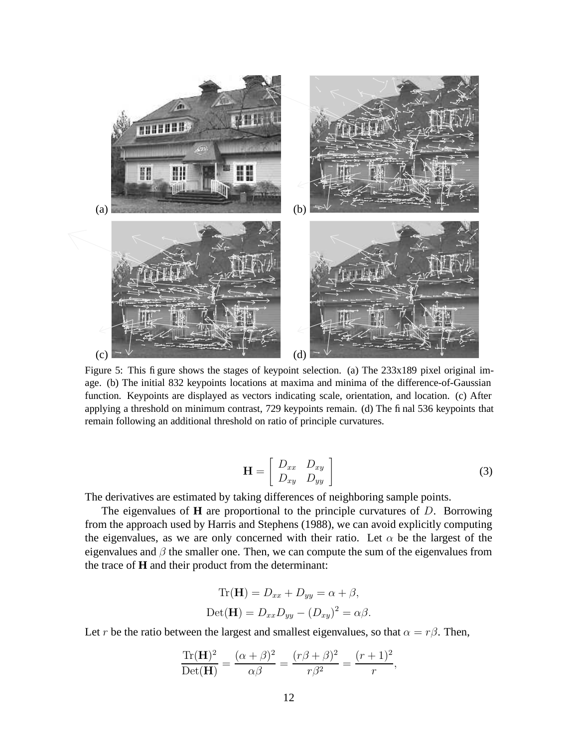

Figure 5: This figure shows the stages of keypoint selection. (a) The 233x189 pixel original image. (b) The initial 832 keypoints locations at maxima and minima of the difference-of-Gaussian function. Keypoints are displayed as vectors indicating scale, orientation, and location. (c) After applying a threshold on minimum contrast, 729 keypoints remain. (d) The final 536 keypoints that remain following an additional threshold on ratio of principle curvatures.

$$
\mathbf{H} = \left[ \begin{array}{cc} D_{xx} & D_{xy} \\ D_{xy} & D_{yy} \end{array} \right] \tag{3}
$$

,

The derivatives are estimated by taking differences of neighboring sample points.

The eigenvalues of **H** are proportional to the principle curvatures of D. Borrowing from the approach used by Harris and Stephens (1988), we can avoid explicitly computing the eigenvalues, as we are only concerned with their ratio. Let  $\alpha$  be the largest of the eigenvalues and  $\beta$  the smaller one. Then, we can compute the sum of the eigenvalues from the trace of **H** and their product from the determinant:

$$
\text{Tr}(\mathbf{H}) = D_{xx} + D_{yy} = \alpha + \beta,
$$
  
 
$$
\text{Det}(\mathbf{H}) = D_{xx}D_{yy} - (D_{xy})^2 = \alpha\beta.
$$

Let r be the ratio between the largest and smallest eigenvalues, so that  $\alpha = r\beta$ . Then,

$$
\frac{\text{Tr}(\mathbf{H})^2}{\text{Det}(\mathbf{H})} = \frac{(\alpha + \beta)^2}{\alpha \beta} = \frac{(r\beta + \beta)^2}{r\beta^2} = \frac{(r+1)^2}{r}
$$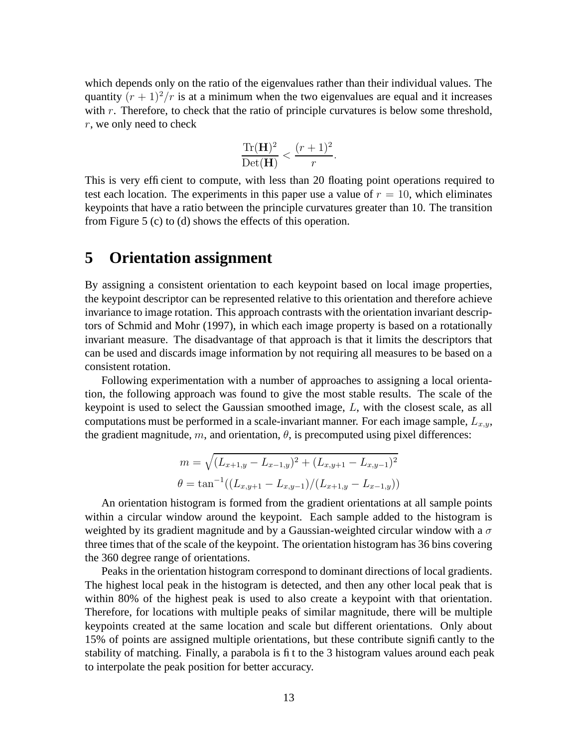which depends only on the ratio of the eigenvalues rather than their individual values. The quantity  $(r + 1)^2/r$  is at a minimum when the two eigenvalues are equal and it increases with  $r$ . Therefore, to check that the ratio of principle curvatures is below some threshold, r, we only need to check

$$
\frac{\text{Tr}(\mathbf{H})^2}{\text{Det}(\mathbf{H})} < \frac{(r+1)^2}{r}.
$$

This is very efficient to compute, with less than 20 floating point operations required to test each location. The experiments in this paper use a value of  $r = 10$ , which eliminates keypoints that have a ratio between the principle curvatures greater than 10. The transition from Figure 5 (c) to (d) shows the effects of this operation.

### **5 Orientation assignment**

By assigning a consistent orientation to each keypoint based on local image properties, the keypoint descriptor can be represented relative to this orientation and therefore achieve invariance to image rotation. This approach contrasts with the orientation invariant descriptors of Schmid and Mohr (1997), in which each image property is based on a rotationally invariant measure. The disadvantage of that approach is that it limits the descriptors that can be used and discards image information by not requiring all measures to be based on a consistent rotation.

Following experimentation with a number of approaches to assigning a local orientation, the following approach was found to give the most stable results. The scale of the keypoint is used to select the Gaussian smoothed image, L, with the closest scale, as all computations must be performed in a scale-invariant manner. For each image sample,  $L_{x,y}$ , the gradient magnitude, m, and orientation,  $\theta$ , is precomputed using pixel differences:

$$
m = \sqrt{(L_{x+1,y} - L_{x-1,y})^2 + (L_{x,y+1} - L_{x,y-1})^2}
$$
  

$$
\theta = \tan^{-1}((L_{x,y+1} - L_{x,y-1})/(L_{x+1,y} - L_{x-1,y}))
$$

An orientation histogram is formed from the gradient orientations at all sample points within a circular window around the keypoint. Each sample added to the histogram is weighted by its gradient magnitude and by a Gaussian-weighted circular window with a  $\sigma$ three times that of the scale of the keypoint. The orientation histogram has 36 bins covering the 360 degree range of orientations.

Peaks in the orientation histogram correspond to dominant directions of local gradients. The highest local peak in the histogram is detected, and then any other local peak that is within 80% of the highest peak is used to also create a keypoint with that orientation. Therefore, for locations with multiple peaks of similar magnitude, there will be multiple keypoints created at the same location and scale but different orientations. Only about 15% of points are assigned multiple orientations, but these contribute significantly to the stability of matching. Finally, a parabola is fit to the 3 histogram values around each peak to interpolate the peak position for better accuracy.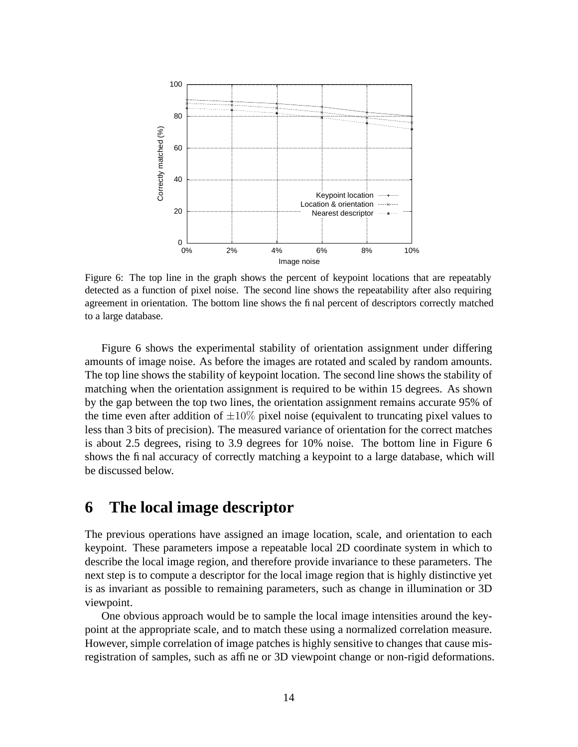

Figure 6: The top line in the graph shows the percent of keypoint locations that are repeatably detected as a function of pixel noise. The second line shows the repeatability after also requiring agreement in orientation. The bottom line shows the final percent of descriptors correctly matched to a large database.

Figure 6 shows the experimental stability of orientation assignment under differing amounts of image noise. As before the images are rotated and scaled by random amounts. The top line shows the stability of keypoint location. The second line shows the stability of matching when the orientation assignment is required to be within 15 degrees. As shown by the gap between the top two lines, the orientation assignment remains accurate 95% of the time even after addition of  $\pm 10\%$  pixel noise (equivalent to truncating pixel values to less than 3 bits of precision). The measured variance of orientation for the correct matches is about 2.5 degrees, rising to 3.9 degrees for 10% noise. The bottom line in Figure 6 shows the final accuracy of correctly matching a keypoint to a large database, which will be discussed below.

### **6 The local image descriptor**

The previous operations have assigned an image location, scale, and orientation to each keypoint. These parameters impose a repeatable local 2D coordinate system in which to describe the local image region, and therefore provide invariance to these parameters. The next step is to compute a descriptor for the local image region that is highly distinctive yet is as invariant as possible to remaining parameters, such as change in illumination or 3D viewpoint.

One obvious approach would be to sample the local image intensities around the keypoint at the appropriate scale, and to match these using a normalized correlation measure. However, simple correlation of image patches is highly sensitive to changes that cause misregistration of samples, such as affine or 3D viewpoint change or non-rigid deformations.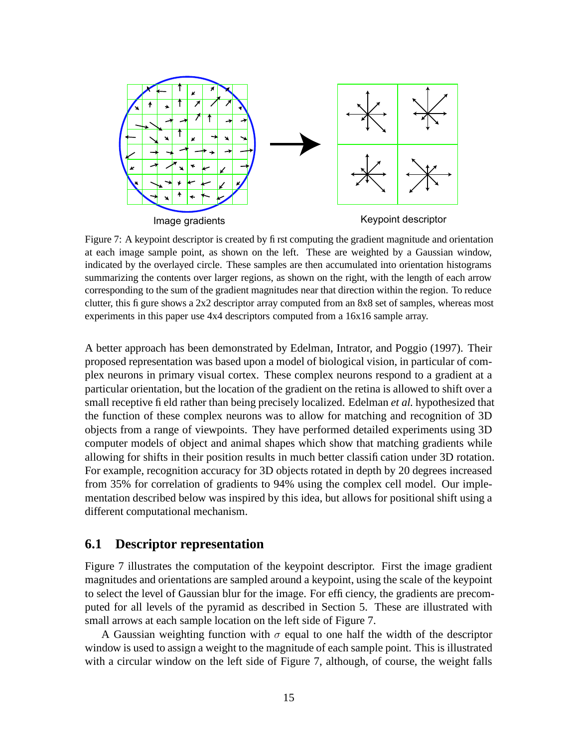

Figure 7: A keypoint descriptor is created by first computing the gradient magnitude and orientation at each image sample point, as shown on the left. These are weighted by a Gaussian window, indicated by the overlayed circle. These samples are then accumulated into orientation histograms summarizing the contents over larger regions, as shown on the right, with the length of each arrow corresponding to the sum of the gradient magnitudes near that direction within the region. To reduce clutter, this figure shows a 2x2 descriptor array computed from an 8x8 set of samples, whereas most experiments in this paper use 4x4 descriptors computed from a 16x16 sample array.

A better approach has been demonstrated by Edelman, Intrator, and Poggio (1997). Their proposed representation was based upon a model of biological vision, in particular of complex neurons in primary visual cortex. These complex neurons respond to a gradient at a particular orientation, but the location of the gradient on the retina is allowed to shift over a small receptive field rather than being precisely localized. Edelman *et al.* hypothesized that the function of these complex neurons was to allow for matching and recognition of 3D objects from a range of viewpoints. They have performed detailed experiments using 3D computer models of object and animal shapes which show that matching gradients while allowing for shifts in their position results in much better classification under 3D rotation. For example, recognition accuracy for 3D objects rotated in depth by 20 degrees increased from 35% for correlation of gradients to 94% using the complex cell model. Our implementation described below was inspired by this idea, but allows for positional shift using a different computational mechanism.

#### **6.1 Descriptor representation**

Figure 7 illustrates the computation of the keypoint descriptor. First the image gradient magnitudes and orientations are sampled around a keypoint, using the scale of the keypoint to select the level of Gaussian blur for the image. For efficiency, the gradients are precomputed for all levels of the pyramid as described in Section 5. These are illustrated with small arrows at each sample location on the left side of Figure 7.

A Gaussian weighting function with  $\sigma$  equal to one half the width of the descriptor window is used to assign a weight to the magnitude of each sample point. This is illustrated with a circular window on the left side of Figure 7, although, of course, the weight falls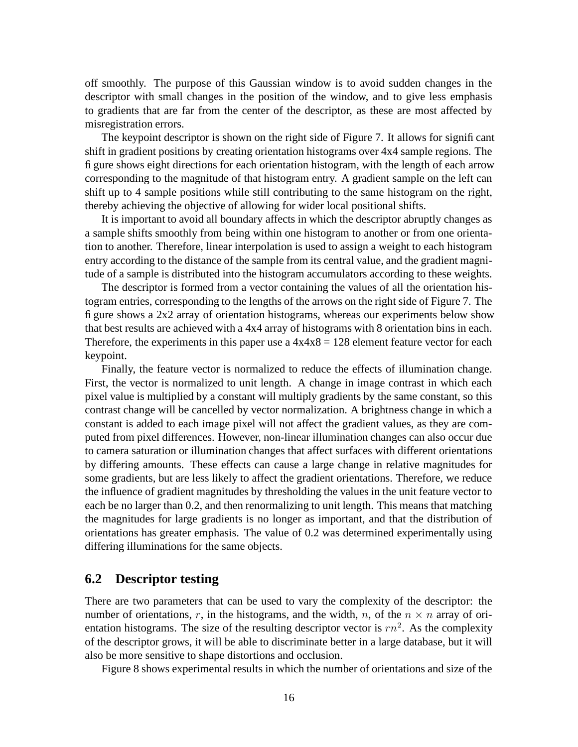off smoothly. The purpose of this Gaussian window is to avoid sudden changes in the descriptor with small changes in the position of the window, and to give less emphasis to gradients that are far from the center of the descriptor, as these are most affected by misregistration errors.

The keypoint descriptor is shown on the right side of Figure 7. It allows for significant shift in gradient positions by creating orientation histograms over 4x4 sample regions. The figure shows eight directions for each orientation histogram, with the length of each arrow corresponding to the magnitude of that histogram entry. A gradient sample on the left can shift up to 4 sample positions while still contributing to the same histogram on the right, thereby achieving the objective of allowing for wider local positional shifts.

It is important to avoid all boundary affects in which the descriptor abruptly changes as a sample shifts smoothly from being within one histogram to another or from one orientation to another. Therefore, linear interpolation is used to assign a weight to each histogram entry according to the distance of the sample from its central value, and the gradient magnitude of a sample is distributed into the histogram accumulators according to these weights.

The descriptor is formed from a vector containing the values of all the orientation histogram entries, corresponding to the lengths of the arrows on the right side of Figure 7. The figure shows a 2x2 array of orientation histograms, whereas our experiments below show that best results are achieved with a 4x4 array of histograms with 8 orientation bins in each. Therefore, the experiments in this paper use a  $4x4x8 = 128$  element feature vector for each keypoint.

Finally, the feature vector is normalized to reduce the effects of illumination change. First, the vector is normalized to unit length. A change in image contrast in which each pixel value is multiplied by a constant will multiply gradients by the same constant, so this contrast change will be cancelled by vector normalization. A brightness change in which a constant is added to each image pixel will not affect the gradient values, as they are computed from pixel differences. However, non-linear illumination changes can also occur due to camera saturation or illumination changes that affect surfaces with different orientations by differing amounts. These effects can cause a large change in relative magnitudes for some gradients, but are less likely to affect the gradient orientations. Therefore, we reduce the influence of gradient magnitudes by thresholding the values in the unit feature vector to each be no larger than 0.2, and then renormalizing to unit length. This means that matching the magnitudes for large gradients is no longer as important, and that the distribution of orientations has greater emphasis. The value of 0.2 was determined experimentally using differing illuminations for the same objects.

#### **6.2 Descriptor testing**

There are two parameters that can be used to vary the complexity of the descriptor: the number of orientations, r, in the histograms, and the width, n, of the  $n \times n$  array of orientation histograms. The size of the resulting descriptor vector is  $rn^2$ . As the complexity of the descriptor grows, it will be able to discriminate better in a large database, but it will also be more sensitive to shape distortions and occlusion.

Figure 8 shows experimental results in which the number of orientations and size of the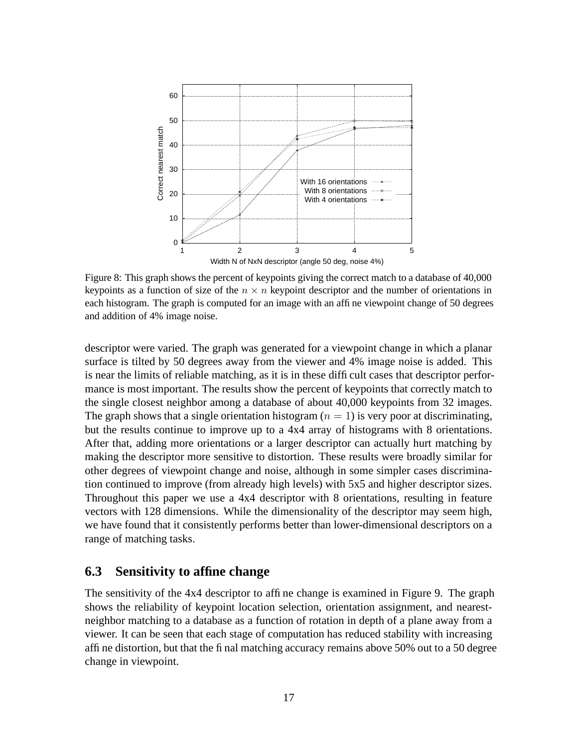

Figure 8: This graph shows the percent of keypoints giving the correct match to a database of 40,000 keypoints as a function of size of the  $n \times n$  keypoint descriptor and the number of orientations in each histogram. The graph is computed for an image with an affine viewpoint change of 50 degrees and addition of 4% image noise.

descriptor were varied. The graph was generated for a viewpoint change in which a planar surface is tilted by 50 degrees away from the viewer and 4% image noise is added. This is near the limits of reliable matching, as it is in these difficult cases that descriptor performance is most important. The results show the percent of keypoints that correctly match to the single closest neighbor among a database of about 40,000 keypoints from 32 images. The graph shows that a single orientation histogram  $(n = 1)$  is very poor at discriminating, but the results continue to improve up to a 4x4 array of histograms with 8 orientations. After that, adding more orientations or a larger descriptor can actually hurt matching by making the descriptor more sensitive to distortion. These results were broadly similar for other degrees of viewpoint change and noise, although in some simpler cases discrimination continued to improve (from already high levels) with 5x5 and higher descriptor sizes. Throughout this paper we use a 4x4 descriptor with 8 orientations, resulting in feature vectors with 128 dimensions. While the dimensionality of the descriptor may seem high, we have found that it consistently performs better than lower-dimensional descriptors on a range of matching tasks.

#### **6.3 Sensitivity to affine change**

The sensitivity of the 4x4 descriptor to affine change is examined in Figure 9. The graph shows the reliability of keypoint location selection, orientation assignment, and nearestneighbor matching to a database as a function of rotation in depth of a plane away from a viewer. It can be seen that each stage of computation has reduced stability with increasing affine distortion, but that the final matching accuracy remains above 50% out to a 50 degree change in viewpoint.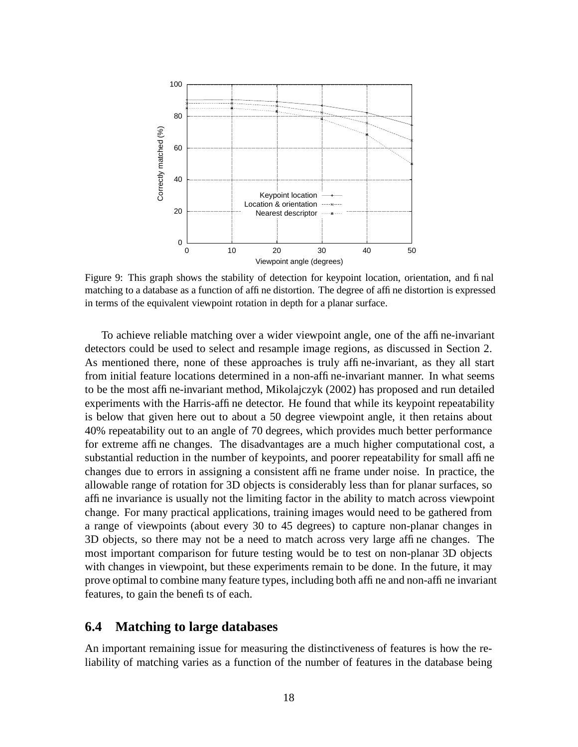

Figure 9: This graph shows the stability of detection for keypoint location, orientation, and final matching to a database as a function of affine distortion. The degree of affine distortion is expressed in terms of the equivalent viewpoint rotation in depth for a planar surface.

To achieve reliable matching over a wider viewpoint angle, one of the affine-invariant detectors could be used to select and resample image regions, as discussed in Section 2. As mentioned there, none of these approaches is truly affine-invariant, as they all start from initial feature locations determined in a non-affine-invariant manner. In what seems to be the most affine-invariant method, Mikolajczyk (2002) has proposed and run detailed experiments with the Harris-affine detector. He found that while its keypoint repeatability is below that given here out to about a 50 degree viewpoint angle, it then retains about 40% repeatability out to an angle of 70 degrees, which provides much better performance for extreme affine changes. The disadvantages are a much higher computational cost, a substantial reduction in the number of keypoints, and poorer repeatability for small affine changes due to errors in assigning a consistent affine frame under noise. In practice, the allowable range of rotation for 3D objects is considerably less than for planar surfaces, so affine invariance is usually not the limiting factor in the ability to match across viewpoint change. For many practical applications, training images would need to be gathered from a range of viewpoints (about every 30 to 45 degrees) to capture non-planar changes in 3D objects, so there may not be a need to match across very large affine changes. The most important comparison for future testing would be to test on non-planar 3D objects with changes in viewpoint, but these experiments remain to be done. In the future, it may prove optimal to combine many feature types, including both affine and non-affine invariant features, to gain the benefits of each.

#### **6.4 Matching to large databases**

An important remaining issue for measuring the distinctiveness of features is how the reliability of matching varies as a function of the number of features in the database being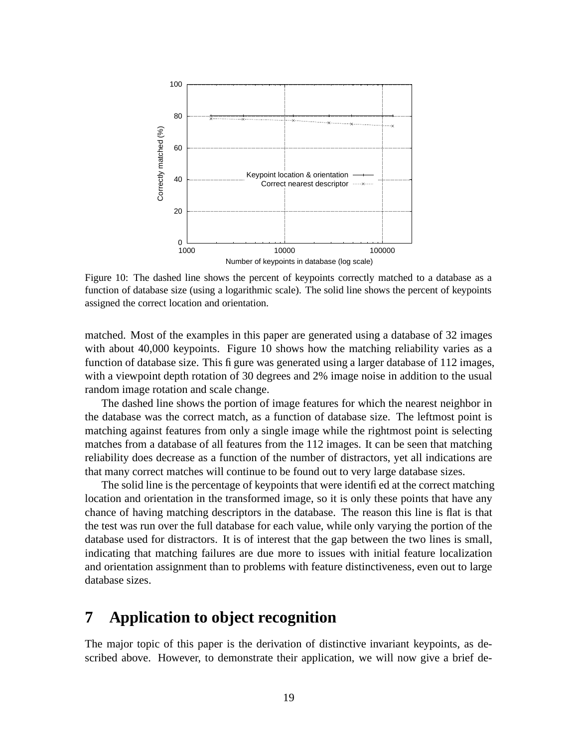

Figure 10: The dashed line shows the percent of keypoints correctly matched to a database as a function of database size (using a logarithmic scale). The solid line shows the percent of keypoints assigned the correct location and orientation.

matched. Most of the examples in this paper are generated using a database of 32 images with about 40,000 keypoints. Figure 10 shows how the matching reliability varies as a function of database size. This figure was generated using a larger database of 112 images, with a viewpoint depth rotation of 30 degrees and 2% image noise in addition to the usual random image rotation and scale change.

The dashed line shows the portion of image features for which the nearest neighbor in the database was the correct match, as a function of database size. The leftmost point is matching against features from only a single image while the rightmost point is selecting matches from a database of all features from the 112 images. It can be seen that matching reliability does decrease as a function of the number of distractors, yet all indications are that many correct matches will continue to be found out to very large database sizes.

The solid line is the percentage of keypoints that were identified at the correct matching location and orientation in the transformed image, so it is only these points that have any chance of having matching descriptors in the database. The reason this line is flat is that the test was run over the full database for each value, while only varying the portion of the database used for distractors. It is of interest that the gap between the two lines is small, indicating that matching failures are due more to issues with initial feature localization and orientation assignment than to problems with feature distinctiveness, even out to large database sizes.

# **7 Application to object recognition**

The major topic of this paper is the derivation of distinctive invariant keypoints, as described above. However, to demonstrate their application, we will now give a brief de-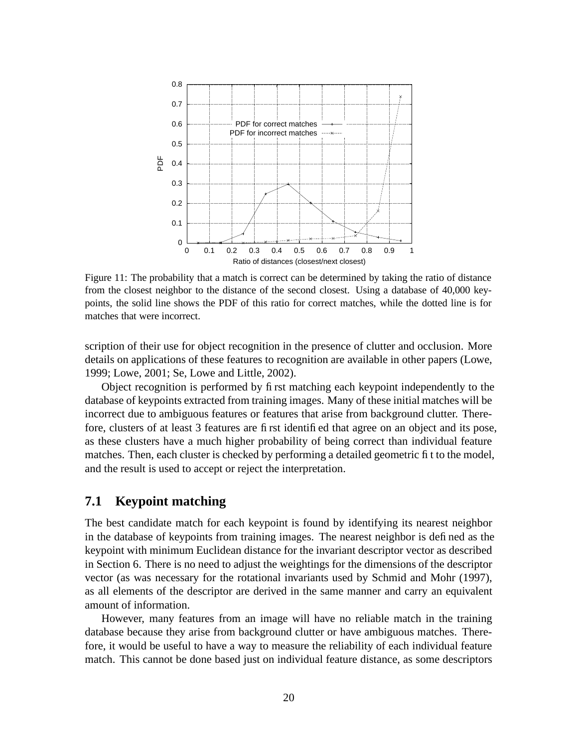

Figure 11: The probability that a match is correct can be determined by taking the ratio of distance from the closest neighbor to the distance of the second closest. Using a database of 40,000 keypoints, the solid line shows the PDF of this ratio for correct matches, while the dotted line is for matches that were incorrect.

scription of their use for object recognition in the presence of clutter and occlusion. More details on applications of these features to recognition are available in other papers (Lowe, 1999; Lowe, 2001; Se, Lowe and Little, 2002).

Object recognition is performed by first matching each keypoint independently to the database of keypoints extracted from training images. Many of these initial matches will be incorrect due to ambiguous features or features that arise from background clutter. Therefore, clusters of at least 3 features are first identified that agree on an object and its pose, as these clusters have a much higher probability of being correct than individual feature matches. Then, each cluster is checked by performing a detailed geometric fit to the model, and the result is used to accept or reject the interpretation.

#### **7.1 Keypoint matching**

The best candidate match for each keypoint is found by identifying its nearest neighbor in the database of keypoints from training images. The nearest neighbor is defined as the keypoint with minimum Euclidean distance for the invariant descriptor vector as described in Section 6. There is no need to adjust the weightings for the dimensions of the descriptor vector (as was necessary for the rotational invariants used by Schmid and Mohr (1997), as all elements of the descriptor are derived in the same manner and carry an equivalent amount of information.

However, many features from an image will have no reliable match in the training database because they arise from background clutter or have ambiguous matches. Therefore, it would be useful to have a way to measure the reliability of each individual feature match. This cannot be done based just on individual feature distance, as some descriptors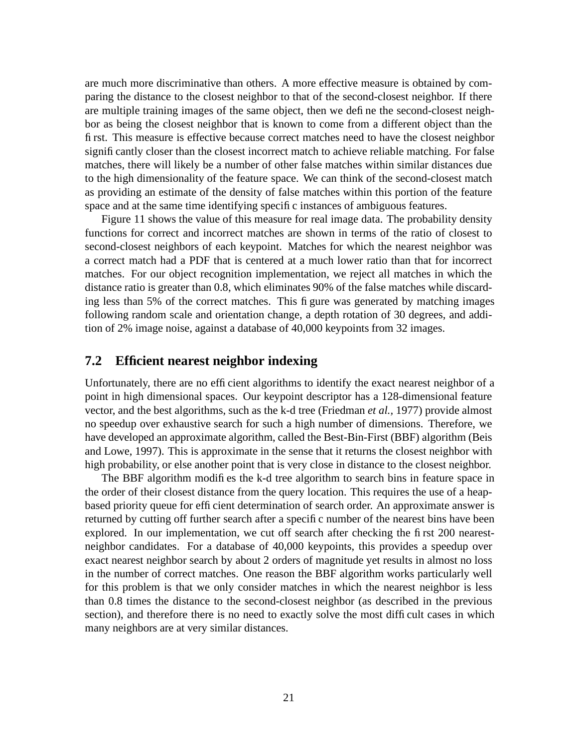are much more discriminative than others. A more effective measure is obtained by comparing the distance to the closest neighbor to that of the second-closest neighbor. If there are multiple training images of the same object, then we define the second-closest neighbor as being the closest neighbor that is known to come from a different object than the first. This measure is effective because correct matches need to have the closest neighbor significantly closer than the closest incorrect match to achieve reliable matching. For false matches, there will likely be a number of other false matches within similar distances due to the high dimensionality of the feature space. We can think of the second-closest match as providing an estimate of the density of false matches within this portion of the feature space and at the same time identifying specific instances of ambiguous features.

Figure 11 shows the value of this measure for real image data. The probability density functions for correct and incorrect matches are shown in terms of the ratio of closest to second-closest neighbors of each keypoint. Matches for which the nearest neighbor was a correct match had a PDF that is centered at a much lower ratio than that for incorrect matches. For our object recognition implementation, we reject all matches in which the distance ratio is greater than 0.8, which eliminates 90% of the false matches while discarding less than 5% of the correct matches. This figure was generated by matching images following random scale and orientation change, a depth rotation of 30 degrees, and addition of 2% image noise, against a database of 40,000 keypoints from 32 images.

#### **7.2 Efficient nearest neighbor indexing**

Unfortunately, there are no efficient algorithms to identify the exact nearest neighbor of a point in high dimensional spaces. Our keypoint descriptor has a 128-dimensional feature vector, and the best algorithms, such as the k-d tree (Friedman *et al.,* 1977) provide almost no speedup over exhaustive search for such a high number of dimensions. Therefore, we have developed an approximate algorithm, called the Best-Bin-First (BBF) algorithm (Beis and Lowe, 1997). This is approximate in the sense that it returns the closest neighbor with high probability, or else another point that is very close in distance to the closest neighbor.

The BBF algorithm modifies the k-d tree algorithm to search bins in feature space in the order of their closest distance from the query location. This requires the use of a heapbased priority queue for efficient determination of search order. An approximate answer is returned by cutting off further search after a specific number of the nearest bins have been explored. In our implementation, we cut off search after checking the first 200 nearestneighbor candidates. For a database of 40,000 keypoints, this provides a speedup over exact nearest neighbor search by about 2 orders of magnitude yet results in almost no loss in the number of correct matches. One reason the BBF algorithm works particularly well for this problem is that we only consider matches in which the nearest neighbor is less than 0.8 times the distance to the second-closest neighbor (as described in the previous section), and therefore there is no need to exactly solve the most difficult cases in which many neighbors are at very similar distances.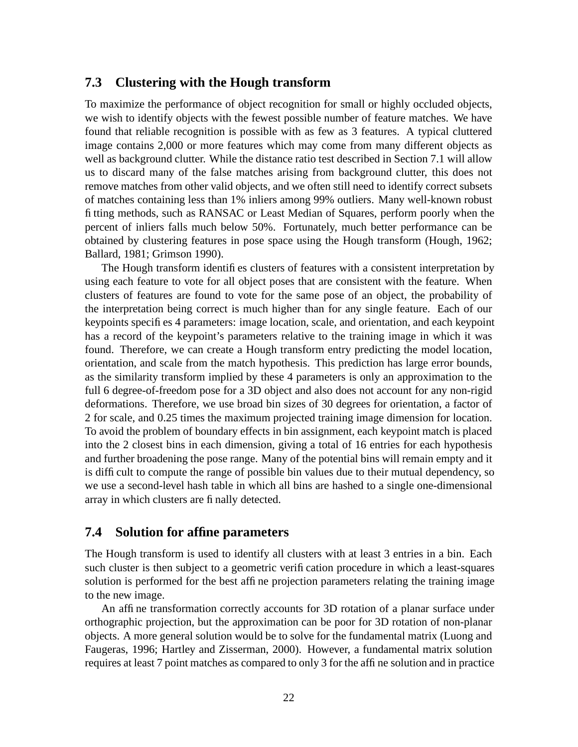#### **7.3 Clustering with the Hough transform**

To maximize the performance of object recognition for small or highly occluded objects, we wish to identify objects with the fewest possible number of feature matches. We have found that reliable recognition is possible with as few as 3 features. A typical cluttered image contains 2,000 or more features which may come from many different objects as well as background clutter. While the distance ratio test described in Section 7.1 will allow us to discard many of the false matches arising from background clutter, this does not remove matches from other valid objects, and we often still need to identify correct subsets of matches containing less than 1% inliers among 99% outliers. Many well-known robust fitting methods, such as RANSAC or Least Median of Squares, perform poorly when the percent of inliers falls much below 50%. Fortunately, much better performance can be obtained by clustering features in pose space using the Hough transform (Hough, 1962; Ballard, 1981; Grimson 1990).

The Hough transform identifies clusters of features with a consistent interpretation by using each feature to vote for all object poses that are consistent with the feature. When clusters of features are found to vote for the same pose of an object, the probability of the interpretation being correct is much higher than for any single feature. Each of our keypoints specifies 4 parameters: image location, scale, and orientation, and each keypoint has a record of the keypoint's parameters relative to the training image in which it was found. Therefore, we can create a Hough transform entry predicting the model location, orientation, and scale from the match hypothesis. This prediction has large error bounds, as the similarity transform implied by these 4 parameters is only an approximation to the full 6 degree-of-freedom pose for a 3D object and also does not account for any non-rigid deformations. Therefore, we use broad bin sizes of 30 degrees for orientation, a factor of 2 for scale, and 0.25 times the maximum projected training image dimension for location. To avoid the problem of boundary effects in bin assignment, each keypoint match is placed into the 2 closest bins in each dimension, giving a total of 16 entries for each hypothesis and further broadening the pose range. Many of the potential bins will remain empty and it is difficult to compute the range of possible bin values due to their mutual dependency, so we use a second-level hash table in which all bins are hashed to a single one-dimensional array in which clusters are finally detected.

#### **7.4 Solution for affine parameters**

The Hough transform is used to identify all clusters with at least 3 entries in a bin. Each such cluster is then subject to a geometric verification procedure in which a least-squares solution is performed for the best affine projection parameters relating the training image to the new image.

An affine transformation correctly accounts for 3D rotation of a planar surface under orthographic projection, but the approximation can be poor for 3D rotation of non-planar objects. A more general solution would be to solve for the fundamental matrix (Luong and Faugeras, 1996; Hartley and Zisserman, 2000). However, a fundamental matrix solution requires at least 7 point matches as compared to only 3 for the affine solution and in practice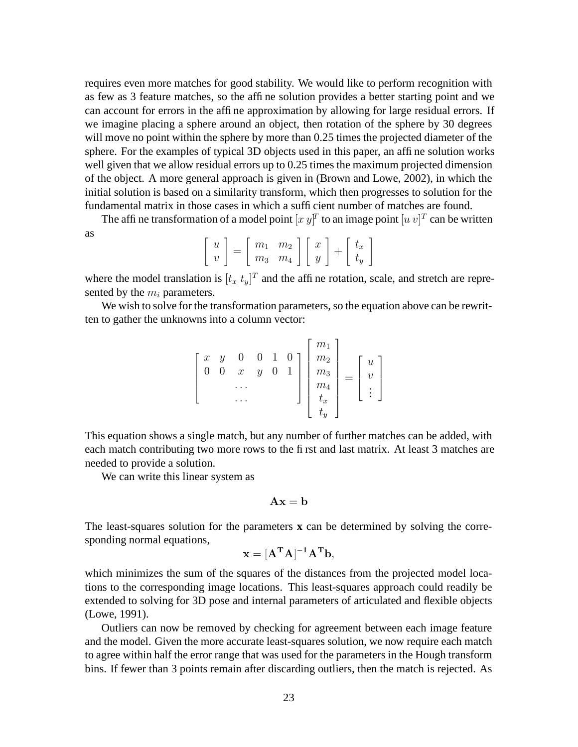requires even more matches for good stability. We would like to perform recognition with as few as 3 feature matches, so the affine solution provides a better starting point and we can account for errors in the affine approximation by allowing for large residual errors. If we imagine placing a sphere around an object, then rotation of the sphere by 30 degrees will move no point within the sphere by more than 0.25 times the projected diameter of the sphere. For the examples of typical 3D objects used in this paper, an affine solution works well given that we allow residual errors up to 0.25 times the maximum projected dimension of the object. A more general approach is given in (Brown and Lowe, 2002), in which the initial solution is based on a similarity transform, which then progresses to solution for the fundamental matrix in those cases in which a sufficient number of matches are found.

The affine transformation of a model point  $[x \, y]^T$  to an image point  $[u \, v]^T$  can be written as

$$
\left[\begin{array}{c}u\\v\end{array}\right]=\left[\begin{array}{cc}m_1&m_2\\m_3&m_4\end{array}\right]\left[\begin{array}{c}x\\y\end{array}\right]+\left[\begin{array}{c}t_x\\t_y\end{array}\right]
$$

where the model translation is  $[t_x t_y]^T$  and the affine rotation, scale, and stretch are represented by the  $m_i$  parameters.

We wish to solve for the transformation parameters, so the equation above can be rewritten to gather the unknowns into a column vector:

$$
\begin{bmatrix} x & y & 0 & 0 & 1 & 0 \ 0 & 0 & x & y & 0 & 1 \ \cdots & & & & \vdots \ 0 & \cdots & & & & \vdots \end{bmatrix} \begin{bmatrix} m_1 \\ m_2 \\ m_3 \\ m_4 \\ t_x \\ t_y \end{bmatrix} = \begin{bmatrix} u \\ v \\ \vdots \end{bmatrix}
$$

This equation shows a single match, but any number of further matches can be added, with each match contributing two more rows to the first and last matrix. At least 3 matches are needed to provide a solution.

We can write this linear system as

$$
\mathbf{A}\mathbf{x}=\mathbf{b}
$$

The least-squares solution for the parameters **x** can be determined by solving the corresponding normal equations,

$$
\mathbf{x} = [\mathbf{A}^{\mathrm{T}} \mathbf{A}]^{-1} \mathbf{A}^{\mathrm{T}} \mathbf{b},
$$

which minimizes the sum of the squares of the distances from the projected model locations to the corresponding image locations. This least-squares approach could readily be extended to solving for 3D pose and internal parameters of articulated and flexible objects (Lowe, 1991).

Outliers can now be removed by checking for agreement between each image feature and the model. Given the more accurate least-squares solution, we now require each match to agree within half the error range that was used for the parameters in the Hough transform bins. If fewer than 3 points remain after discarding outliers, then the match is rejected. As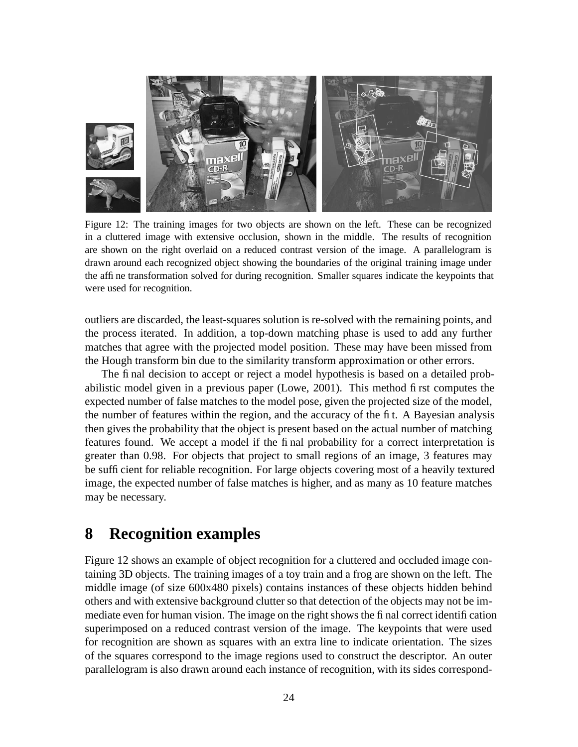

Figure 12: The training images for two objects are shown on the left. These can be recognized in a cluttered image with extensive occlusion, shown in the middle. The results of recognition are shown on the right overlaid on a reduced contrast version of the image. A parallelogram is drawn around each recognized object showing the boundaries of the original training image under the affine transformation solved for during recognition. Smaller squares indicate the keypoints that were used for recognition.

outliers are discarded, the least-squares solution is re-solved with the remaining points, and the process iterated. In addition, a top-down matching phase is used to add any further matches that agree with the projected model position. These may have been missed from the Hough transform bin due to the similarity transform approximation or other errors.

The final decision to accept or reject a model hypothesis is based on a detailed probabilistic model given in a previous paper (Lowe, 2001). This method first computes the expected number of false matches to the model pose, given the projected size of the model, the number of features within the region, and the accuracy of the fit. A Bayesian analysis then gives the probability that the object is present based on the actual number of matching features found. We accept a model if the final probability for a correct interpretation is greater than 0.98. For objects that project to small regions of an image, 3 features may be sufficient for reliable recognition. For large objects covering most of a heavily textured image, the expected number of false matches is higher, and as many as 10 feature matches may be necessary.

# **8 Recognition examples**

Figure 12 shows an example of object recognition for a cluttered and occluded image containing 3D objects. The training images of a toy train and a frog are shown on the left. The middle image (of size 600x480 pixels) contains instances of these objects hidden behind others and with extensive background clutter so that detection of the objects may not be immediate even for human vision. The image on the right shows the final correct identification superimposed on a reduced contrast version of the image. The keypoints that were used for recognition are shown as squares with an extra line to indicate orientation. The sizes of the squares correspond to the image regions used to construct the descriptor. An outer parallelogram is also drawn around each instance of recognition, with its sides correspond-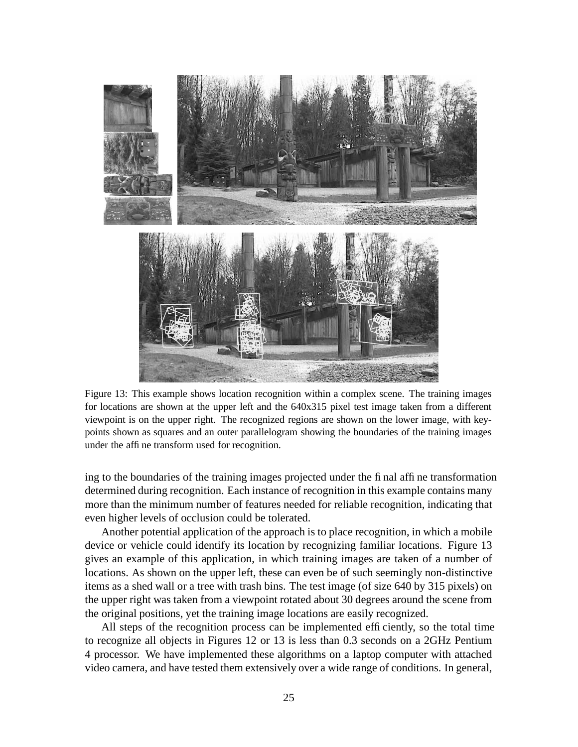

Figure 13: This example shows location recognition within a complex scene. The training images for locations are shown at the upper left and the 640x315 pixel test image taken from a different viewpoint is on the upper right. The recognized regions are shown on the lower image, with keypoints shown as squares and an outer parallelogram showing the boundaries of the training images under the affine transform used for recognition.

ing to the boundaries of the training images projected under the final affine transformation determined during recognition. Each instance of recognition in this example contains many more than the minimum number of features needed for reliable recognition, indicating that even higher levels of occlusion could be tolerated.

Another potential application of the approach is to place recognition, in which a mobile device or vehicle could identify its location by recognizing familiar locations. Figure 13 gives an example of this application, in which training images are taken of a number of locations. As shown on the upper left, these can even be of such seemingly non-distinctive items as a shed wall or a tree with trash bins. The test image (of size 640 by 315 pixels) on the upper right was taken from a viewpoint rotated about 30 degrees around the scene from the original positions, yet the training image locations are easily recognized.

All steps of the recognition process can be implemented efficiently, so the total time to recognize all objects in Figures 12 or 13 is less than 0.3 seconds on a 2GHz Pentium 4 processor. We have implemented these algorithms on a laptop computer with attached video camera, and have tested them extensively over a wide range of conditions. In general,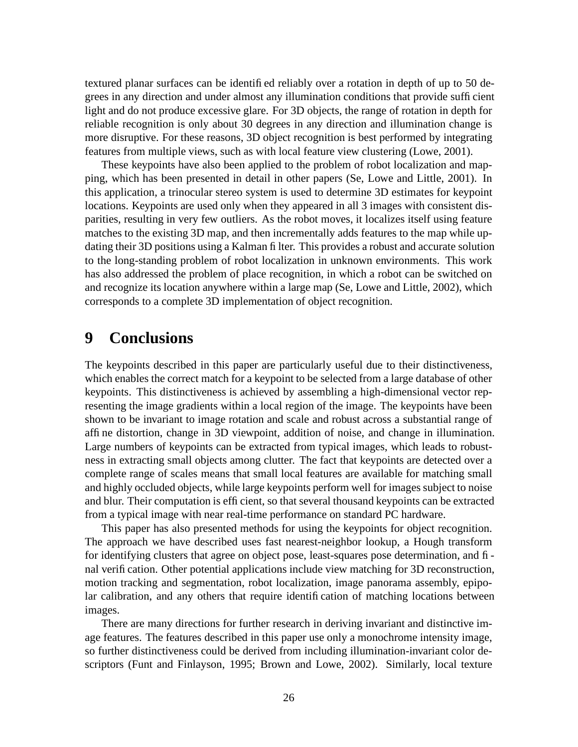textured planar surfaces can be identified reliably over a rotation in depth of up to 50 degrees in any direction and under almost any illumination conditions that provide sufficient light and do not produce excessive glare. For 3D objects, the range of rotation in depth for reliable recognition is only about 30 degrees in any direction and illumination change is more disruptive. For these reasons, 3D object recognition is best performed by integrating features from multiple views, such as with local feature view clustering (Lowe, 2001).

These keypoints have also been applied to the problem of robot localization and mapping, which has been presented in detail in other papers (Se, Lowe and Little, 2001). In this application, a trinocular stereo system is used to determine 3D estimates for keypoint locations. Keypoints are used only when they appeared in all 3 images with consistent disparities, resulting in very few outliers. As the robot moves, it localizes itself using feature matches to the existing 3D map, and then incrementally adds features to the map while updating their 3D positions using a Kalman filter. This provides a robust and accurate solution to the long-standing problem of robot localization in unknown environments. This work has also addressed the problem of place recognition, in which a robot can be switched on and recognize its location anywhere within a large map (Se, Lowe and Little, 2002), which corresponds to a complete 3D implementation of object recognition.

# **9 Conclusions**

The keypoints described in this paper are particularly useful due to their distinctiveness, which enables the correct match for a keypoint to be selected from a large database of other keypoints. This distinctiveness is achieved by assembling a high-dimensional vector representing the image gradients within a local region of the image. The keypoints have been shown to be invariant to image rotation and scale and robust across a substantial range of affine distortion, change in 3D viewpoint, addition of noise, and change in illumination. Large numbers of keypoints can be extracted from typical images, which leads to robustness in extracting small objects among clutter. The fact that keypoints are detected over a complete range of scales means that small local features are available for matching small and highly occluded objects, while large keypoints perform well for images subject to noise and blur. Their computation is efficient, so that several thousand keypoints can be extracted from a typical image with near real-time performance on standard PC hardware.

This paper has also presented methods for using the keypoints for object recognition. The approach we have described uses fast nearest-neighbor lookup, a Hough transform for identifying clusters that agree on object pose, least-squares pose determination, and final verification. Other potential applications include view matching for 3D reconstruction, motion tracking and segmentation, robot localization, image panorama assembly, epipolar calibration, and any others that require identification of matching locations between images.

There are many directions for further research in deriving invariant and distinctive image features. The features described in this paper use only a monochrome intensity image, so further distinctiveness could be derived from including illumination-invariant color descriptors (Funt and Finlayson, 1995; Brown and Lowe, 2002). Similarly, local texture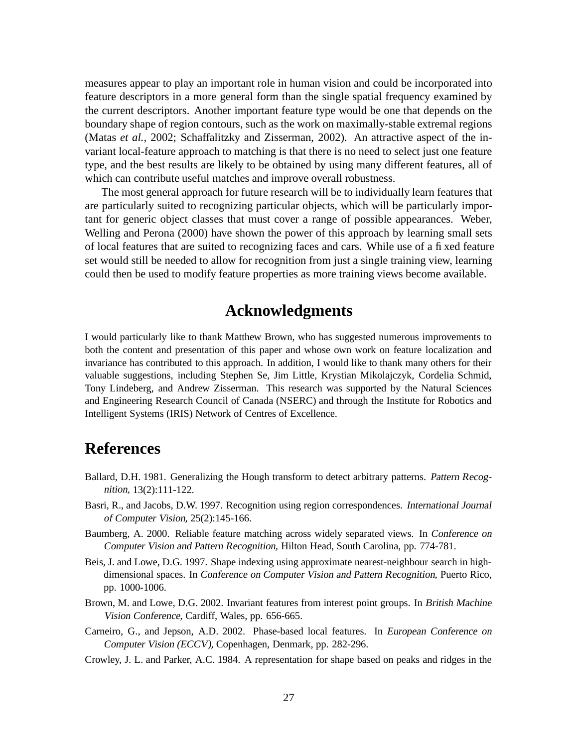measures appear to play an important role in human vision and could be incorporated into feature descriptors in a more general form than the single spatial frequency examined by the current descriptors. Another important feature type would be one that depends on the boundary shape of region contours, such as the work on maximally-stable extremal regions (Matas *et al.,* 2002; Schaffalitzky and Zisserman, 2002). An attractive aspect of the invariant local-feature approach to matching is that there is no need to select just one feature type, and the best results are likely to be obtained by using many different features, all of which can contribute useful matches and improve overall robustness.

The most general approach for future research will be to individually learn features that are particularly suited to recognizing particular objects, which will be particularly important for generic object classes that must cover a range of possible appearances. Weber, Welling and Perona (2000) have shown the power of this approach by learning small sets of local features that are suited to recognizing faces and cars. While use of a fixed feature set would still be needed to allow for recognition from just a single training view, learning could then be used to modify feature properties as more training views become available.

# **Acknowledgments**

I would particularly like to thank Matthew Brown, who has suggested numerous improvements to both the content and presentation of this paper and whose own work on feature localization and invariance has contributed to this approach. In addition, I would like to thank many others for their valuable suggestions, including Stephen Se, Jim Little, Krystian Mikolajczyk, Cordelia Schmid, Tony Lindeberg, and Andrew Zisserman. This research was supported by the Natural Sciences and Engineering Research Council of Canada (NSERC) and through the Institute for Robotics and Intelligent Systems (IRIS) Network of Centres of Excellence.

# **References**

- Ballard, D.H. 1981. Generalizing the Hough transform to detect arbitrary patterns. Pattern Recognition, 13(2):111-122.
- Basri, R., and Jacobs, D.W. 1997. Recognition using region correspondences. International Journal of Computer Vision, 25(2):145-166.
- Baumberg, A. 2000. Reliable feature matching across widely separated views. In Conference on Computer Vision and Pattern Recognition, Hilton Head, South Carolina, pp. 774-781.
- Beis, J. and Lowe, D.G. 1997. Shape indexing using approximate nearest-neighbour search in highdimensional spaces. In Conference on Computer Vision and Pattern Recognition, Puerto Rico, pp. 1000-1006.
- Brown, M. and Lowe, D.G. 2002. Invariant features from interest point groups. In British Machine Vision Conference, Cardiff, Wales, pp. 656-665.
- Carneiro, G., and Jepson, A.D. 2002. Phase-based local features. In European Conference on Computer Vision (ECCV), Copenhagen, Denmark, pp. 282-296.
- Crowley, J. L. and Parker, A.C. 1984. A representation for shape based on peaks and ridges in the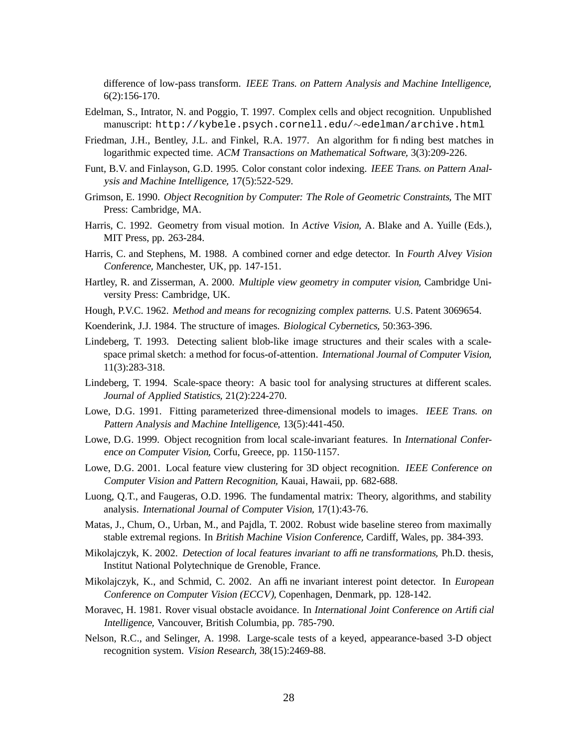difference of low-pass transform. IEEE Trans. on Pattern Analysis and Machine Intelligence, 6(2):156-170.

- Edelman, S., Intrator, N. and Poggio, T. 1997. Complex cells and object recognition. Unpublished manuscript: http://kybele.psych.cornell.edu/∼edelman/archive.html
- Friedman, J.H., Bentley, J.L. and Finkel, R.A. 1977. An algorithm for finding best matches in logarithmic expected time. ACM Transactions on Mathematical Software, 3(3):209-226.
- Funt, B.V. and Finlayson, G.D. 1995. Color constant color indexing. IEEE Trans. on Pattern Analysis and Machine Intelligence, 17(5):522-529.
- Grimson, E. 1990. Object Recognition by Computer: The Role of Geometric Constraints, The MIT Press: Cambridge, MA.
- Harris, C. 1992. Geometry from visual motion. In Active Vision, A. Blake and A. Yuille (Eds.), MIT Press, pp. 263-284.
- Harris, C. and Stephens, M. 1988. A combined corner and edge detector. In Fourth Alvey Vision Conference, Manchester, UK, pp. 147-151.
- Hartley, R. and Zisserman, A. 2000. Multiple view geometry in computer vision, Cambridge University Press: Cambridge, UK.
- Hough, P.V.C. 1962. Method and means for recognizing complex patterns. U.S. Patent 3069654.
- Koenderink, J.J. 1984. The structure of images. Biological Cybernetics, 50:363-396.
- Lindeberg, T. 1993. Detecting salient blob-like image structures and their scales with a scalespace primal sketch: a method for focus-of-attention. International Journal of Computer Vision, 11(3):283-318.
- Lindeberg, T. 1994. Scale-space theory: A basic tool for analysing structures at different scales. Journal of Applied Statistics, 21(2):224-270.
- Lowe, D.G. 1991. Fitting parameterized three-dimensional models to images. IEEE Trans. on Pattern Analysis and Machine Intelligence, 13(5):441-450.
- Lowe, D.G. 1999. Object recognition from local scale-invariant features. In International Conference on Computer Vision, Corfu, Greece, pp. 1150-1157.
- Lowe, D.G. 2001. Local feature view clustering for 3D object recognition. IEEE Conference on Computer Vision and Pattern Recognition, Kauai, Hawaii, pp. 682-688.
- Luong, Q.T., and Faugeras, O.D. 1996. The fundamental matrix: Theory, algorithms, and stability analysis. International Journal of Computer Vision, 17(1):43-76.
- Matas, J., Chum, O., Urban, M., and Pajdla, T. 2002. Robust wide baseline stereo from maximally stable extremal regions. In British Machine Vision Conference, Cardiff, Wales, pp. 384-393.
- Mikolajczyk, K. 2002. Detection of local features invariant to affine transformations, Ph.D. thesis, Institut National Polytechnique de Grenoble, France.
- Mikolajczyk, K., and Schmid, C. 2002. An affine invariant interest point detector. In European Conference on Computer Vision (ECCV), Copenhagen, Denmark, pp. 128-142.
- Moravec, H. 1981. Rover visual obstacle avoidance. In International Joint Conference on Artificial Intelligence, Vancouver, British Columbia, pp. 785-790.
- Nelson, R.C., and Selinger, A. 1998. Large-scale tests of a keyed, appearance-based 3-D object recognition system. Vision Research, 38(15):2469-88.